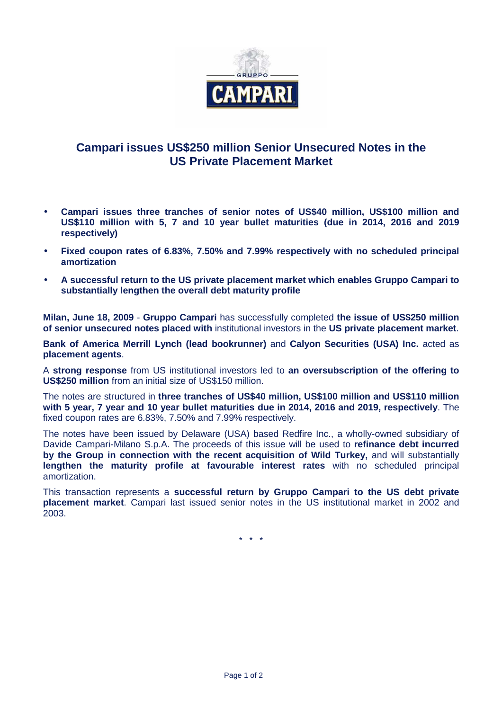

## **Campari issues US\$250 million Senior Unsecured Notes in the US Private Placement Market**

- **Campari issues three tranches of senior notes of US\$40 million, US\$100 million and US\$110 million with 5, 7 and 10 year bullet maturities (due in 2014, 2016 and 2019 respectively)**
- **Fixed coupon rates of 6.83%, 7.50% and 7.99% respectively with no scheduled principal amortization**
- **A successful return to the US private placement market which enables Gruppo Campari to substantially lengthen the overall debt maturity profile**

**Milan, June 18, 2009** - **Gruppo Campari** has successfully completed **the issue of US\$250 million of senior unsecured notes placed with** institutional investors in the **US private placement market**.

**Bank of America Merrill Lynch (lead bookrunner)** and **Calyon Securities (USA) Inc.** acted as **placement agents**.

A **strong response** from US institutional investors led to **an oversubscription of the offering to US\$250 million** from an initial size of US\$150 million.

The notes are structured in **three tranches of US\$40 million, US\$100 million and US\$110 million with 5 year, 7 year and 10 year bullet maturities due in 2014, 2016 and 2019, respectively**. The fixed coupon rates are 6.83%, 7.50% and 7.99% respectively.

The notes have been issued by Delaware (USA) based Redfire Inc., a wholly-owned subsidiary of Davide Campari-Milano S.p.A. The proceeds of this issue will be used to **refinance debt incurred by the Group in connection with the recent acquisition of Wild Turkey,** and will substantially **lengthen the maturity profile at favourable interest rates** with no scheduled principal amortization.

This transaction represents a **successful return by Gruppo Campari to the US debt private placement market**. Campari last issued senior notes in the US institutional market in 2002 and 2003.

\* \* \*